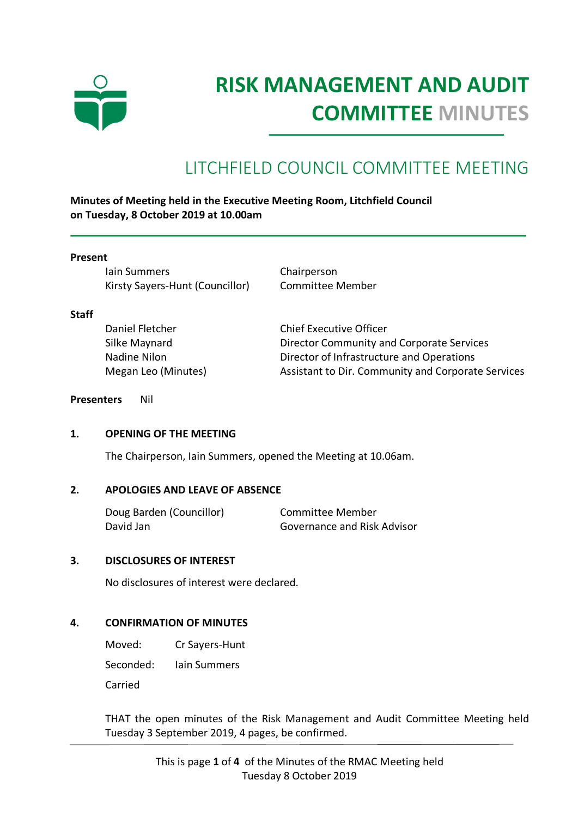

# **RISK MANAGEMENT AND AUDIT COMMITTEE MINUTES**

# LITCHFIELD COUNCIL COMMITTEE MEETING

**Minutes of Meeting held in the Executive Meeting Room, Litchfield Council on Tuesday, 8 October 2019 at 10.00am**

#### **Present**

Iain Summers Chairperson Kirsty Sayers-Hunt (Councillor) Committee Member

#### **Staff**

Daniel Fletcher Chief Executive Officer Silke Maynard Director Community and Corporate Services Nadine Nilon Director of Infrastructure and Operations Megan Leo (Minutes) Assistant to Dir. Community and Corporate Services

#### **Presenters** Nil

#### **1. OPENING OF THE MEETING**

The Chairperson, Iain Summers, opened the Meeting at 10.06am.

#### **2. APOLOGIES AND LEAVE OF ABSENCE**

| Doug Barden (Councillor) | Committee Member            |
|--------------------------|-----------------------------|
| David Jan                | Governance and Risk Advisor |

#### **3. DISCLOSURES OF INTEREST**

No disclosures of interest were declared.

#### **4. CONFIRMATION OF MINUTES**

Moved: Cr Sayers-Hunt Seconded: Iain Summers Carried

THAT the open minutes of the Risk Management and Audit Committee Meeting held Tuesday 3 September 2019, 4 pages, be confirmed.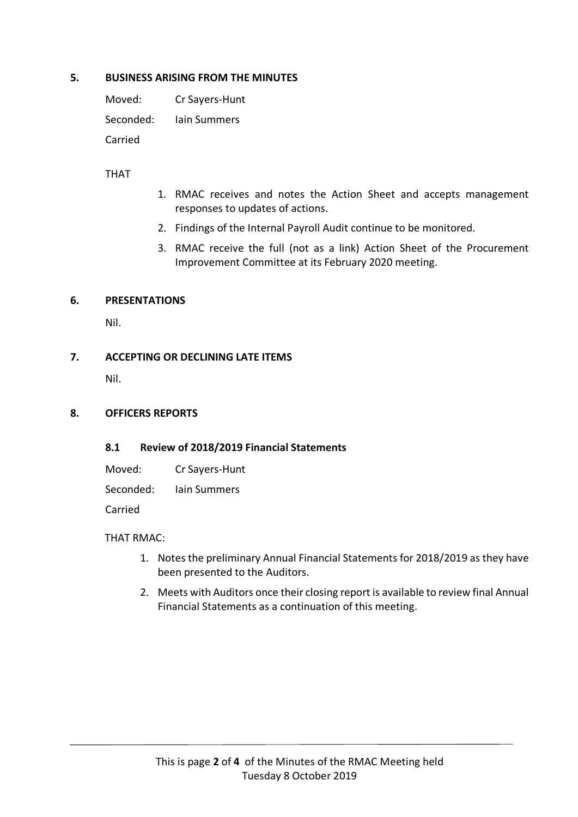#### **5. BUSINESS ARISING FROM THE MINUTES**

Moved: Cr Sayers-Hunt Seconded: Iain Summers Carried

## THAT

- 1. RMAC receives and notes the Action Sheet and accepts management responses to updates of actions.
- 2. Findings of the Internal Payroll Audit continue to be monitored.
- 3. RMAC receive the full (not as a link) Action Sheet of the Procurement Improvement Committee at its February 2020 meeting.

#### **6. PRESENTATIONS**

Nil.

## **7. ACCEPTING OR DECLINING LATE ITEMS**

Nil.

#### **8. OFFICERS REPORTS**

#### **8.1 Review of 2018/2019 Financial Statements**

Moved: Cr Sayers-Hunt

Seconded: Iain Summers

Carried

#### THAT RMAC:

- 1. Notes the preliminary Annual Financial Statements for 2018/2019 as they have been presented to the Auditors.
- 2. Meets with Auditors once their closing report is available to review final Annual Financial Statements as a continuation of this meeting.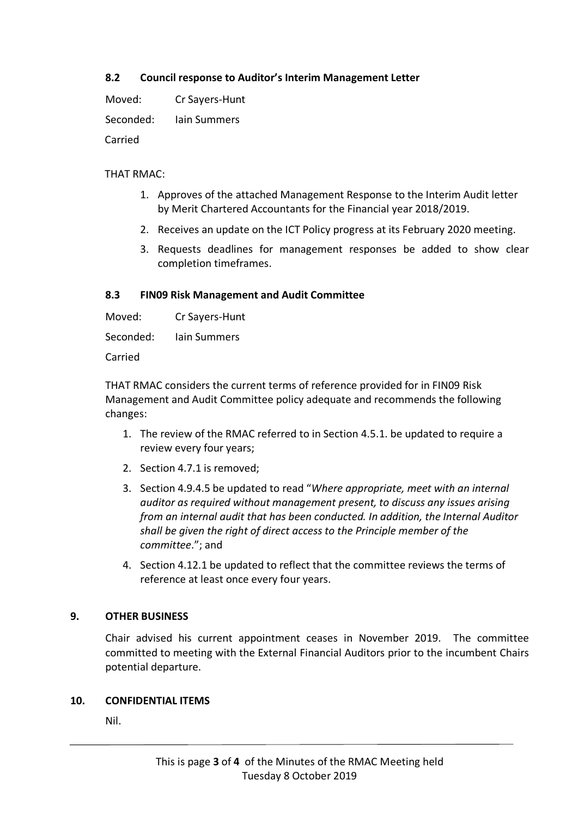# **8.2 Council response to Auditor's Interim Management Letter**

Moved: Cr Sayers-Hunt

Seconded: Iain Summers

Carried

# THAT RMAC:

- 1. Approves of the attached Management Response to the Interim Audit letter by Merit Chartered Accountants for the Financial year 2018/2019.
- 2. Receives an update on the ICT Policy progress at its February 2020 meeting.
- 3. Requests deadlines for management responses be added to show clear completion timeframes.

# **8.3 FIN09 Risk Management and Audit Committee**

Moved: Cr Sayers-Hunt

Seconded: Iain Summers

Carried

THAT RMAC considers the current terms of reference provided for in FIN09 Risk Management and Audit Committee policy adequate and recommends the following changes:

- 1. The review of the RMAC referred to in Section 4.5.1. be updated to require a review every four years;
- 2. Section 4.7.1 is removed;
- 3. Section 4.9.4.5 be updated to read "*Where appropriate, meet with an internal auditor as required without management present, to discuss any issues arising from an internal audit that has been conducted. In addition, the Internal Auditor shall be given the right of direct access to the Principle member of the committee*."; and
- 4. Section 4.12.1 be updated to reflect that the committee reviews the terms of reference at least once every four years.

# **9. OTHER BUSINESS**

Chair advised his current appointment ceases in November 2019. The committee committed to meeting with the External Financial Auditors prior to the incumbent Chairs potential departure.

# **10. CONFIDENTIAL ITEMS**

Nil.